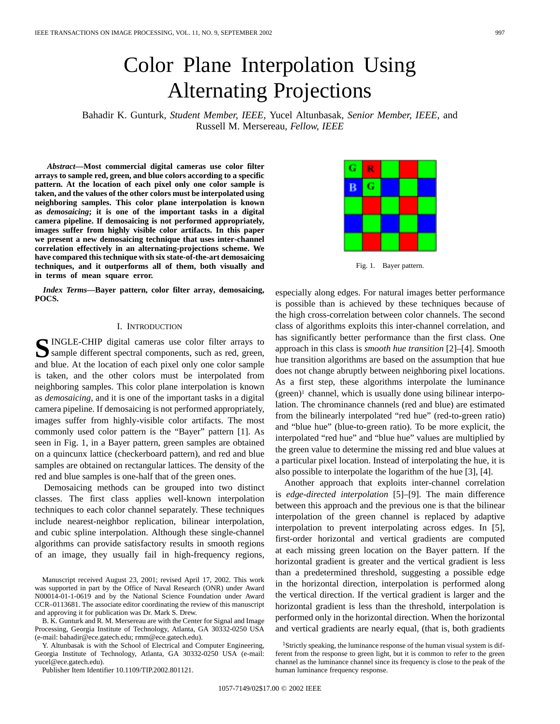# Color Plane Interpolation Using Alternating Projections

Bahadir K. Gunturk*, Student Member, IEEE*, Yucel Altunbasak*, Senior Member, IEEE*, and Russell M. Mersereau*, Fellow, IEEE*

*Abstract—***Most commercial digital cameras use color filter arrays to sample red, green, and blue colors according to a specific pattern. At the location of each pixel only one color sample is taken, and the values of the other colors must be interpolated using neighboring samples. This color plane interpolation is known as** *demosaicing***; it is one of the important tasks in a digital camera pipeline. If demosaicing is not performed appropriately, images suffer from highly visible color artifacts. In this paper we present a new demosaicing technique that uses inter-channel correlation effectively in an alternating-projections scheme. We have compared this technique with six state-of-the-art demosaicing techniques, and it outperforms all of them, both visually and in terms of mean square error.**

*Index Terms—***Bayer pattern, color filter array, demosaicing, POCS.**

# I. INTRODUCTION

SINGLE-CHIP digital cameras use color filter arrays to<br>
Sample different spectral components, such as red, green, and blue. At the location of each pixel only one color sample is taken, and the other colors must be interpolated from neighboring samples. This color plane interpolation is known as *demosaicing*, and it is one of the important tasks in a digital camera pipeline. If demosaicing is not performed appropriately, images suffer from highly-visible color artifacts. The most commonly used color pattern is the "Bayer" pattern [1]. As seen in Fig. 1, in a Bayer pattern, green samples are obtained on a quincunx lattice (checkerboard pattern), and red and blue samples are obtained on rectangular lattices. The density of the red and blue samples is one-half that of the green ones.

Demosaicing methods can be grouped into two distinct classes. The first class applies well-known interpolation techniques to each color channel separately. These techniques include nearest-neighbor replication, bilinear interpolation, and cubic spline interpolation. Although these single-channel algorithms can provide satisfactory results in smooth regions of an image, they usually fail in high-frequency regions,

B. K. Gunturk and R. M. Mersereau are with the Center for Signal and Image Processing, Georgia Institute of Technology, Atlanta, GA 30332-0250 USA (e-mail: bahadir@ece.gatech.edu; rmm@ece.gatech.edu).

Y. Altunbasak is with the School of Electrical and Computer Engineering, Georgia Institute of Technology, Atlanta, GA 30332-0250 USA (e-mail: yucel@ece.gatech.edu).

Publisher Item Identifier 10.1109/TIP.2002.801121.

R G B

Fig. 1. Bayer pattern.

especially along edges. For natural images better performance is possible than is achieved by these techniques because of the high cross-correlation between color channels. The second class of algorithms exploits this inter-channel correlation, and has significantly better performance than the first class. One approach in this class is *smooth hue transition* [2]–[4]. Smooth hue transition algorithms are based on the assumption that hue does not change abruptly between neighboring pixel locations. As a first step, these algorithms interpolate the luminance  $(green)^1$  channel, which is usually done using bilinear interpolation. The chrominance channels (red and blue) are estimated from the bilinearly interpolated "red hue" (red-to-green ratio) and "blue hue" (blue-to-green ratio). To be more explicit, the interpolated "red hue" and "blue hue" values are multiplied by the green value to determine the missing red and blue values at a particular pixel location. Instead of interpolating the hue, it is also possible to interpolate the logarithm of the hue [3], [4].

Another approach that exploits inter-channel correlation is *edge-directed interpolation* [5]–[9]. The main difference between this approach and the previous one is that the bilinear interpolation of the green channel is replaced by adaptive interpolation to prevent interpolating across edges. In [5], first-order horizontal and vertical gradients are computed at each missing green location on the Bayer pattern. If the horizontal gradient is greater and the vertical gradient is less than a predetermined threshold, suggesting a possible edge in the horizontal direction, interpolation is performed along the vertical direction. If the vertical gradient is larger and the horizontal gradient is less than the threshold, interpolation is performed only in the horizontal direction. When the horizontal and vertical gradients are nearly equal, (that is, both gradients



Manuscript received August 23, 2001; revised April 17, 2002. This work was supported in part by the Office of Naval Research (ONR) under Award N00014-01-1-0619 and by the National Science Foundation under Award CCR–0113681. The associate editor coordinating the review of this manuscript and approving it for publication was Dr. Mark S. Drew.

<sup>1</sup>Strictly speaking, the luminance response of the human visual system is different from the response to green light, but it is common to refer to the green channel as the luminance channel since its frequency is close to the peak of the human luminance frequency response.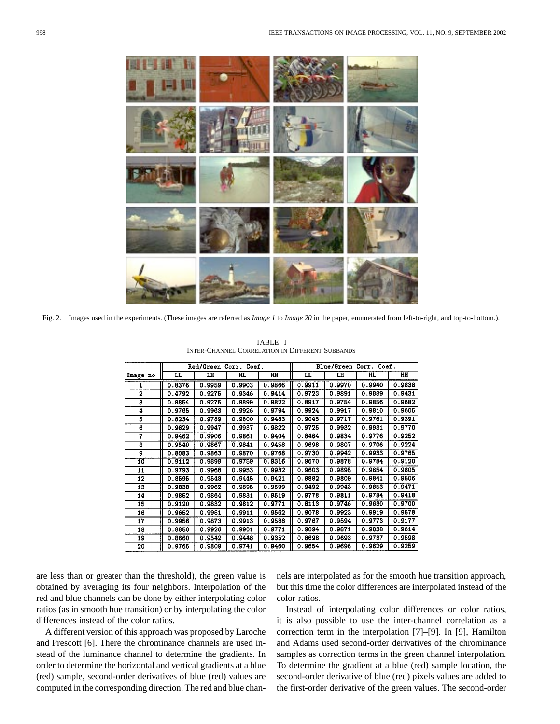

Fig. 2. Images used in the experiments. (These images are referred as *Image 1* to *Image 20* in the paper, enumerated from left-to-right, and top-to-bottom.).

|          | Red/Green Corr. Coef. |        |        |        | Blue/Green Corr. Coef. |        |        |           |  |
|----------|-----------------------|--------|--------|--------|------------------------|--------|--------|-----------|--|
| Image no | LL                    | LH     | HL.    | HH     | LL.                    | LH     | HL     | <b>HH</b> |  |
|          | 0.8376                | 0.9959 | 0.9903 | 0.9866 | 0.9911                 | 0.9970 | 0.9940 | 0.9838    |  |
| 2        | 0.4792                | 0.9275 | 0.9346 | 0.9414 | 0.9723                 | 0.9891 | 0.9889 | 0.9431    |  |
| 3        | 0.8854                | 0.9275 | 0.9899 | 0.9822 | 0.8917                 | 0.9754 | 0.9856 | 0.9682    |  |
| 4        | 0.9765                | 0.9963 | 0.9926 | 0.9794 | 0.9924                 | 0.9917 | 0.9810 | 0.9605    |  |
| 5        | 0.8234                | 0.9789 | 0.9800 | 0.9483 | 0.9045                 | 0.9717 | 0.9761 | 0.9391    |  |
| 6        | 0.9629                | 0.9947 | 0.9937 | 0.9822 | 0.9725                 | 0.9932 | 0.9931 | 0.9770    |  |
| 7        | 0.9462                | 0.9906 | 0.9861 | 0.9404 | 0.8464                 | 0.9834 | 0.9776 | 0.9252    |  |
| 8        | 0.9540                | 0.9867 | 0.9841 | 0.9458 | 0.9698                 | 0.9807 | 0.9706 | 0.9224    |  |
| 9        | 0.8083                | 0.9863 | 0.9870 | 0.9768 | 0.9730                 | 0.9942 | 0.9933 | 0.9765    |  |
| 10       | 0.9112                | 0.9899 | 0.9759 | 0.9316 | 0.9670                 | 0.9878 | 0.9784 | 0.9120    |  |
| 11       | 0.9793                | 0.9968 | 0.9953 | 0.9932 | 0.9603                 | 0.9895 | 0.9854 | 0.9805    |  |
| 12       | 0.8595                | 0.9548 | 0.9445 | 0.9421 | 0.9882                 | 0.9809 | 0.9841 | 0.9506    |  |
| 13       | 0.9838                | 0.9962 | 0.9895 | 0.9599 | 0.9492                 | 0.9943 | 0.9853 | 0.9471    |  |
| 14       | 0.9852                | 0.9864 | 0.9831 | 0.9519 | 0.9778                 | 0.9811 | 0.9784 | 0.9418    |  |
| 15       | 0.9120                | 0.9832 | 0.9812 | 0.9771 | 0.8113                 | 0.9746 | 0.9630 | 0.9700    |  |
| 16       | 0.9652                | 0.9951 | 0.9911 | 0.9562 | 0.9078                 | 0.9923 | 0.9919 | 0.9578    |  |
| 17       | 0.9956                | 0.9873 | 0.9913 | 0.9588 | 0.9767                 | 0.9594 | 0.9773 | 0.9177    |  |
| 18       | 0.8850                | 0.9926 | 0.9901 | 0.9771 | 0.9094                 | 0.9871 | 0.9838 | 0.9614    |  |
| 19       | 0.8660                | 0.9542 | 0.9448 | 0.9352 | 0.8698                 | 0.9693 | 0.9737 | 0.9598    |  |
| 20       | 0.9765                | 0.9809 | 0.9741 | 0.9460 | 0.9654                 | 0.9696 | 0.9629 | 0.9259    |  |

TABLE I INTER-CHANNEL CORRELATION IN DIFFERENT SUBBANDS

are less than or greater than the threshold), the green value is obtained by averaging its four neighbors. Interpolation of the red and blue channels can be done by either interpolating color ratios (as in smooth hue transition) or by interpolating the color differences instead of the color ratios.

A different version of this approach was proposed by Laroche and Prescott [6]. There the chrominance channels are used instead of the luminance channel to determine the gradients. In order to determine the horizontal and vertical gradients at a blue (red) sample, second-order derivatives of blue (red) values are computed in the corresponding direction. The red and blue channels are interpolated as for the smooth hue transition approach, but this time the color differences are interpolated instead of the color ratios.

Instead of interpolating color differences or color ratios, it is also possible to use the inter-channel correlation as a correction term in the interpolation [7]–[9]. In [9], Hamilton and Adams used second-order derivatives of the chrominance samples as correction terms in the green channel interpolation. To determine the gradient at a blue (red) sample location, the second-order derivative of blue (red) pixels values are added to the first-order derivative of the green values. The second-order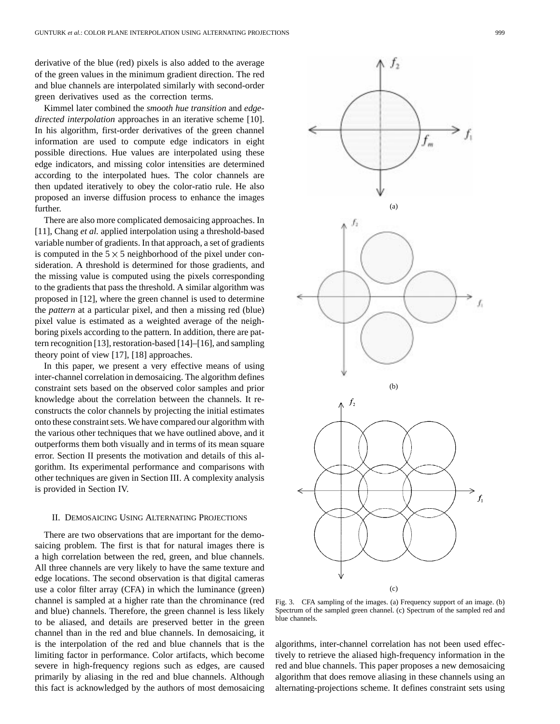derivative of the blue (red) pixels is also added to the average of the green values in the minimum gradient direction. The red and blue channels are interpolated similarly with second-order green derivatives used as the correction terms.

Kimmel later combined the *smooth hue transition* and *edgedirected interpolation* approaches in an iterative scheme [10]. In his algorithm, first-order derivatives of the green channel information are used to compute edge indicators in eight possible directions. Hue values are interpolated using these edge indicators, and missing color intensities are determined according to the interpolated hues. The color channels are then updated iteratively to obey the color-ratio rule. He also proposed an inverse diffusion process to enhance the images further.

There are also more complicated demosaicing approaches. In [11], Chang *et al.* applied interpolation using a threshold-based variable number of gradients. In that approach, a set of gradients is computed in the  $5 \times 5$  neighborhood of the pixel under consideration. A threshold is determined for those gradients, and the missing value is computed using the pixels corresponding to the gradients that pass the threshold. A similar algorithm was proposed in [12], where the green channel is used to determine the *pattern* at a particular pixel, and then a missing red (blue) pixel value is estimated as a weighted average of the neighboring pixels according to the pattern. In addition, there are pattern recognition [13], restoration-based [14]–[16], and sampling theory point of view [17], [18] approaches.

In this paper, we present a very effective means of using inter-channel correlation in demosaicing. The algorithm defines constraint sets based on the observed color samples and prior knowledge about the correlation between the channels. It reconstructs the color channels by projecting the initial estimates onto these constraint sets. We have compared our algorithm with the various other techniques that we have outlined above, and it outperforms them both visually and in terms of its mean square error. Section II presents the motivation and details of this algorithm. Its experimental performance and comparisons with other techniques are given in Section III. A complexity analysis is provided in Section IV.

## II. DEMOSAICING USING ALTERNATING PROJECTIONS

There are two observations that are important for the demosaicing problem. The first is that for natural images there is a high correlation between the red, green, and blue channels. All three channels are very likely to have the same texture and edge locations. The second observation is that digital cameras use a color filter array (CFA) in which the luminance (green) channel is sampled at a higher rate than the chrominance (red and blue) channels. Therefore, the green channel is less likely to be aliased, and details are preserved better in the green channel than in the red and blue channels. In demosaicing, it is the interpolation of the red and blue channels that is the limiting factor in performance. Color artifacts, which become severe in high-frequency regions such as edges, are caused primarily by aliasing in the red and blue channels. Although this fact is acknowledged by the authors of most demosaicing



Fig. 3. CFA sampling of the images. (a) Frequency support of an image. (b) Spectrum of the sampled green channel. (c) Spectrum of the sampled red and blue channels.

algorithms, inter-channel correlation has not been used effectively to retrieve the aliased high-frequency information in the red and blue channels. This paper proposes a new demosaicing algorithm that does remove aliasing in these channels using an alternating-projections scheme. It defines constraint sets using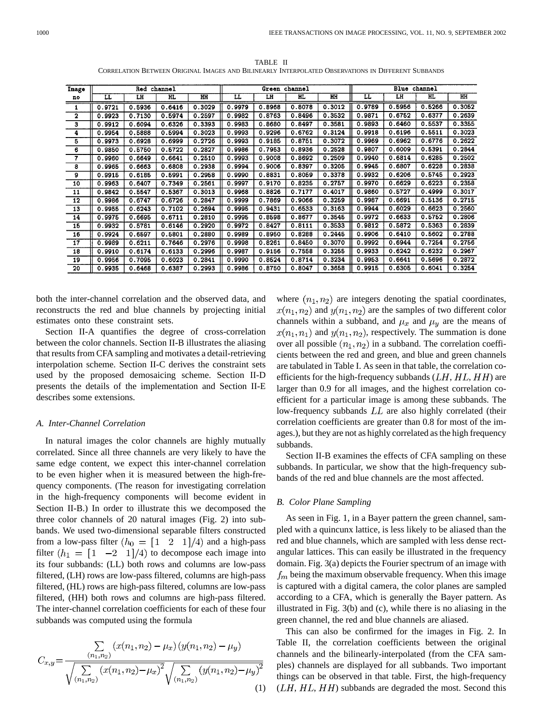Image Red channel Green channel Blue channel ĦН ĪН π  $\overline{H}$ π  $\overline{\overline{\mathbf{H}}}$ нL HH τī LH НĹ  $\overline{\mathbf{L}}$ no  $0.3052$  $0.6416$  $0.8078$  $0.3012$ 0.9789  $0.5956$  $0.5266$  $0.9721$  $0.5936$  $0.3029$ 0.9979  $0.8968$ ī  $\overline{\mathbf{2}}$ 0.9923 0.7130 0.5974  $0.2597$  $0.9982$  $0.8763$  $0.8496$  $0.3532$ 0.9871  $0.6752$ 0.6377  $0.2639$  $0.5537$  $0.3355$ 3  $0.9912$  $0.6094$  $0.6326$  $0.3393$  $0.9983$  $0.8680$  $0.8497$  $0.3581$  $0.9893$  $0.6460$ 4  $0.9954$ 0.5888  $0.5994$  $0.3023$  $0.9993$  $0.9296$  $0.6762$ 0.3124  $0.9918$  $0.6196$  $0.5511$  $0.3023$  $0.6962$  $0.8751$  $0.9969$  $0.6776$  $0.2622$  $0.6999$  $0.2726$ 0.9993  $0.9185$  $0.3072$ 5 0.9973 0.6928  $0.2844$  $\overline{\epsilon}$ 0.9850  $0.5750$  $0.5722$  $0.2827$  $0.9986$  $0.7953$ 0.8936  $0.2528$ 0.9807  $0.6009$  $0.5391$  $0.9993$  $0.2509$ 0.9940  $0.6285$  $0.2502$  $0.2510$  $0.9008$ 0.8692 0.6814 7 0.9960 0.6649 0.6641 0.2838 ड 0.9965 0.6663 0.6808  $0.2938$  $0.9994$  $0.9006$ 0.8397  $0.3205$  $0.9945$  $0.6807$  $0.6228$  $0.9932$  $0.5745$  $0.2923$  $0.8831$  $0.8059$  $0.3378$  $0.6206$  $\overline{a}$  $0.9915$ 0.6185 0.5991 0.2958  $0.9990$  $0.6223$ 0.2358  $10$ 0.9963  $0.6407$  $0.7349$  $0.2561$ 0.9997 0.9170 0.8235 0.2757 0.9970 0.6629 0.7177  $0.4999$  $0.3017$  $0.4017$ 0.9860 0.5727 11 0.9842 0.5547 0.5367 0.3013 0.9968 0.8826  $0.2715$  $\overline{12}$ 0.9986 0.6747  $0.6726$  $0.2847$ 0.9999 0.7869 0.9066  $0.3259$ 0.9987  $0.6691$  $0.5136$  $\overline{13}$  $0.9955$  $0.6243$  $0.7102$  $0.2694$ 0.9995 0.9431  $0.6533$  $0.3163$ 0.9944 0.6029 0.6623 0.2560  $14$ 0.9975  $0.6695$  $0.6711$ 0.2810  $0.9995$ 0.8598 0.8677 0.3545  $0.9972$ 0.6633  $0.5752$  $0.2806$ 0.9812 0.5872  $0.5363$ 0.2839 15 0.9932 0.5781 0.6146 0.2920 0.9972 0.8427 0.8111 0.3533  $\overline{16}$  $0.9924$  $0.6597$  $0.5801$ 0.2880 0.9989  $0.8950$ 0.8288 0.2445 0.9906  $0.6410$ 0.5602 0.2788

 $0.8261$ 

0.9156

0.8524

0.8750

0.8450

0.7558

 $0.8714$ 

0.8047

0.3070

 $0.3255$ 

0.3234

0.3658

0.9992

0.9933

0.9953

 $0.9915$ 

0.6944

 $0.6242$ 

 $0.6641$ 

 $0.6305$   $0.6041$ 

0.7254

 $0.6232$ 

0.5696

0.2756

 $0.2967$ 

0.2872

0.3254

TABLE II CORRELATION BETWEEN ORIGINAL IMAGES AND BILINEARLY INTERPOLATED OBSERVATIONS IN DIFFERENT SUBBANDS

both the inter-channel correlation and the observed data, and reconstructs the red and blue channels by projecting initial estimates onto these constraint sets.

 $0.6211$ 

 $0.6174$ 

0.7095

0.6468

0.7646

 $0.6133$ 

 $0.6023$ 

 $0.6387$ 

0.2976

 $0.2996$ 

 $0.2841$ 

 $0.2993$ 

0.9998

0.9987

 $0.9990$ 

0.9986

Section II-A quantifies the degree of cross-correlation between the color channels. Section II-B illustrates the aliasing that results from CFA sampling and motivates a detail-retrieving interpolation scheme. Section II-C derives the constraint sets used by the proposed demosaicing scheme. Section II-D presents the details of the implementation and Section II-E describes some extensions.

## *A. Inter-Channel Correlation*

 $17$ 

 $\overline{18}$ 

 $\overline{19}$ 

20

0.9989

 $0.9910$ 

0.9956

0.9935

In natural images the color channels are highly mutually correlated. Since all three channels are very likely to have the same edge content, we expect this inter-channel correlation to be even higher when it is measured between the high-frequency components. (The reason for investigating correlation in the high-frequency components will become evident in Section II-B.) In order to illustrate this we decomposed the three color channels of 20 natural images (Fig. 2) into subbands. We used two-dimensional separable filters constructed from a low-pass filter  $(h_0 = \begin{bmatrix} 1 & 2 & 1 \end{bmatrix}/4)$  and a high-pass filter  $(h_1 = \begin{bmatrix} 1 & -2 & 1 \end{bmatrix}/4$  to decompose each image into its four subbands: (LL) both rows and columns are low-pass filtered, (LH) rows are low-pass filtered, columns are high-pass filtered, (HL) rows are high-pass filtered, columns are low-pass filtered, (HH) both rows and columns are high-pass filtered. The inter-channel correlation coefficients for each of these four subbands was computed using the formula

$$
C_{x,y} = \frac{\sum\limits_{(n_1,n_2)} (x(n_1,n_2) - \mu_x) (y(n_1,n_2) - \mu_y)}{\sqrt{\sum\limits_{(n_1,n_2)} (x(n_1,n_2) - \mu_x)^2} \sqrt{\sum\limits_{(n_1,n_2)} (y(n_1,n_2) - \mu_y)^2}}
$$
(1)

where  $(n_1, n_2)$  are integers denoting the spatial coordinates,  $x(n_1, n_2)$  and  $y(n_1, n_2)$  are the samples of two different color channels within a subband, and  $\mu_x$  and  $\mu_y$  are the means of  $x(n_1, n_1)$  and  $y(n_1, n_2)$ , respectively. The summation is done over all possible  $(n_1, n_2)$  in a subband. The correlation coefficients between the red and green, and blue and green channels are tabulated in Table I. As seen in that table, the correlation coefficients for the high-frequency subbands  $(LH, HL, HH)$  are larger than 0.9 for all images, and the highest correlation coefficient for a particular image is among these subbands. The low-frequency subbands  $LL$  are also highly correlated (their correlation coefficients are greater than 0.8 for most of the images.), but they are not as highly correlated as the high frequency subbands.

Section II-B examines the effects of CFA sampling on these subbands. In particular, we show that the high-frequency subbands of the red and blue channels are the most affected.

# *B. Color Plane Sampling*

As seen in Fig. 1, in a Bayer pattern the green channel, sampled with a quincunx lattice, is less likely to be aliased than the red and blue channels, which are sampled with less dense rectangular lattices. This can easily be illustrated in the frequency domain. Fig. 3(a) depicts the Fourier spectrum of an image with  $f_m$  being the maximum observable frequency. When this image is captured with a digital camera, the color planes are sampled according to a CFA, which is generally the Bayer pattern. As illustrated in Fig. 3(b) and (c), while there is no aliasing in the green channel, the red and blue channels are aliased.

This can also be confirmed for the images in Fig. 2. In Table II, the correlation coefficients between the original channels and the bilinearly-interpolated (from the CFA samples) channels are displayed for all subbands. Two important things can be observed in that table. First, the high-frequency  $(LH, HL, HH)$  subbands are degraded the most. Second this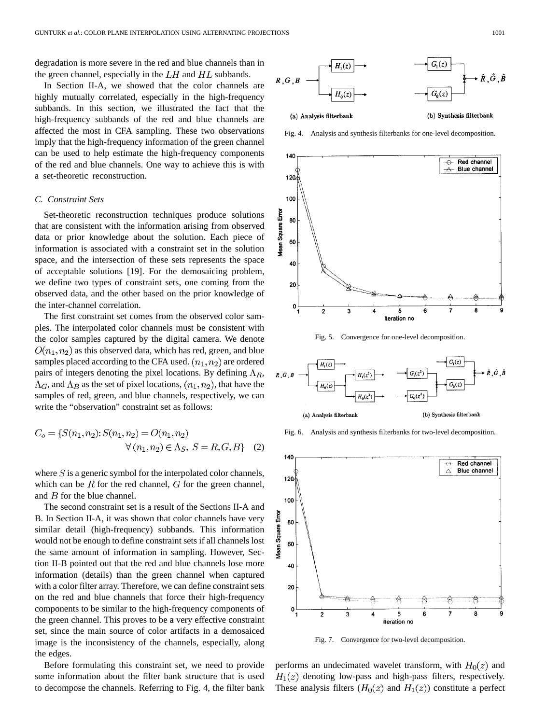degradation is more severe in the red and blue channels than in the green channel, especially in the  $LH$  and  $HL$  subbands.

In Section II-A, we showed that the color channels are highly mutually correlated, especially in the high-frequency subbands. In this section, we illustrated the fact that the high-frequency subbands of the red and blue channels are affected the most in CFA sampling. These two observations imply that the high-frequency information of the green channel can be used to help estimate the high-frequency components of the red and blue channels. One way to achieve this is with a set-theoretic reconstruction.

#### *C. Constraint Sets*

Set-theoretic reconstruction techniques produce solutions that are consistent with the information arising from observed data or prior knowledge about the solution. Each piece of information is associated with a constraint set in the solution space, and the intersection of these sets represents the space of acceptable solutions [19]. For the demosaicing problem, we define two types of constraint sets, one coming from the observed data, and the other based on the prior knowledge of the inter-channel correlation.

The first constraint set comes from the observed color samples. The interpolated color channels must be consistent with the color samples captured by the digital camera. We denote  $O(n_1, n_2)$  as this observed data, which has red, green, and blue samples placed according to the CFA used.  $(n_1, n_2)$  are ordered pairs of integers denoting the pixel locations. By defining  $\Lambda_R$ ,  $\Lambda_G$ , and  $\Lambda_B$  as the set of pixel locations,  $(n_1, n_2)$ , that have the samples of red, green, and blue channels, respectively, we can write the "observation" constraint set as follows:

$$
C_o = \{ S(n_1, n_2) : S(n_1, n_2) = O(n_1, n_2) \newline \forall (n_1, n_2) \in \Lambda_S, S = R, G, B \} \quad (2)
$$

where  $S$  is a generic symbol for the interpolated color channels, which can be  $R$  for the red channel,  $G$  for the green channel, and  $B$  for the blue channel.

The second constraint set is a result of the Sections II-A and B. In Section II-A, it was shown that color channels have very similar detail (high-frequency) subbands. This information would not be enough to define constraint sets if all channels lost the same amount of information in sampling. However, Section II-B pointed out that the red and blue channels lose more information (details) than the green channel when captured with a color filter array. Therefore, we can define constraint sets on the red and blue channels that force their high-frequency components to be similar to the high-frequency components of the green channel. This proves to be a very effective constraint set, since the main source of color artifacts in a demosaiced image is the inconsistency of the channels, especially, along the edges.

Before formulating this constraint set, we need to provide some information about the filter bank structure that is used to decompose the channels. Referring to Fig. 4, the filter bank



Fig. 4. Analysis and synthesis filterbanks for one-level decomposition.



Fig. 5. Convergence for one-level decomposition.



Fig. 6. Analysis and synthesis filterbanks for two-level decomposition.



Fig. 7. Convergence for two-level decomposition.

performs an undecimated wavelet transform, with  $H_0(z)$  and  $H_1(z)$  denoting low-pass and high-pass filters, respectively. These analysis filters  $(H_0(z)$  and  $H_1(z)$ ) constitute a perfect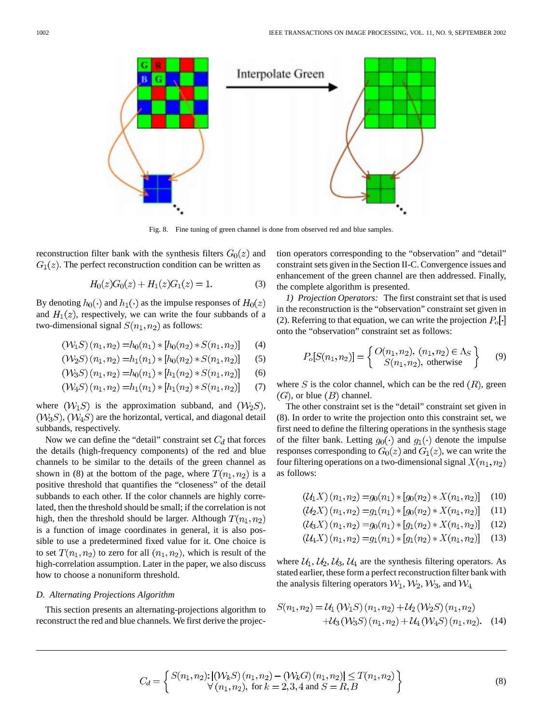

Fig. 8. Fine tuning of green channel is done from observed red and blue samples.

reconstruction filter bank with the synthesis filters  $G_0(z)$  and  $G_1(z)$ . The perfect reconstruction condition can be written as

$$
H_0(z)G_0(z) + H_1(z)G_1(z) = 1.
$$
 (3)

By denoting  $h_0(\cdot)$  and  $h_1(\cdot)$  as the impulse responses of  $H_0(z)$ and  $H_1(z)$ , respectively, we can write the four subbands of a two-dimensional signal  $S(n_1, n_2)$  as follows:

$$
(\mathcal{W}_1 S)(n_1, n_2) = h_0(n_1) * [h_0(n_2) * S(n_1, n_2)] \tag{4}
$$

$$
(\mathcal{W}_2S)(n_1, n_2) = h_1(n_1) * [h_0(n_2) * S(n_1, n_2)] \tag{5}
$$

$$
(\mathcal{W}_3 S)(n_1, n_2) = h_0(n_1) * [h_1(n_2) * S(n_1, n_2)] \tag{6}
$$

$$
(\mathcal{W}_4 S)(n_1, n_2) = h_1(n_1) * [h_1(n_2) * S(n_1, n_2)] \tag{7}
$$

where  $(W_1S)$  is the approximation subband, and  $(W_2S)$ ,  $(W_3S)$ ,  $(W_4S)$  are the horizontal, vertical, and diagonal detail subbands, respectively.

Now we can define the "detail" constraint set  $C_d$  that forces the details (high-frequency components) of the red and blue channels to be similar to the details of the green channel as shown in (8) at the bottom of the page, where  $T(n_1, n_2)$  is a positive threshold that quantifies the "closeness" of the detail subbands to each other. If the color channels are highly correlated, then the threshold should be small; if the correlation is not high, then the threshold should be larger. Although  $T(n_1, n_2)$ is a function of image coordinates in general, it is also possible to use a predetermined fixed value for it. One choice is to set  $T(n_1, n_2)$  to zero for all  $(n_1, n_2)$ , which is result of the high-correlation assumption. Later in the paper, we also discuss how to choose a nonuniform threshold.

#### *D. Alternating Projections Algorithm*

This section presents an alternating-projections algorithm to reconstruct the red and blue channels. We first derive the projection operators corresponding to the "observation" and "detail" constraint sets given in the Section II-C. Convergence issues and enhancement of the green channel are then addressed. Finally, the complete algorithm is presented.

*1) Projection Operators:* The first constraint set that is used in the reconstruction is the "observation" constraint set given in (2). Referring to that equation, we can write the projection  $P_o[\cdot]$ onto the "observation" constraint set as follows:

$$
P_o[S(n_1, n_2)] = \begin{cases} O(n_1, n_2), (n_1, n_2) \in \Lambda_S \\ S(n_1, n_2), \text{ otherwise} \end{cases}
$$
 (9)

where S is the color channel, which can be the red  $(R)$ , green  $(G)$ , or blue  $(B)$  channel.

The other constraint set is the "detail" constraint set given in (8). In order to write the projection onto this constraint set, we first need to define the filtering operations in the synthesis stage of the filter bank. Letting  $g_0(\cdot)$  and  $g_1(\cdot)$  denote the impulse responses corresponding to  $G_0(z)$  and  $G_1(z)$ , we can write the four filtering operations on a two-dimensional signal  $X(n_1, n_2)$ as follows:

$$
(\mathcal{U}_1 X)(n_1, n_2) = g_0(n_1) * [g_0(n_2) * X(n_1, n_2)] \quad (10)
$$

$$
(\mathcal{U}_2 X)(n_1, n_2) = g_1(n_1) * [g_0(n_2) * X(n_1, n_2)] \quad (11)
$$

$$
(\mathcal{U}_3 X)(n_1, n_2) = g_0(n_1) * [g_1(n_2) * X(n_1, n_2)] \quad (12)
$$

$$
(U_4X)(n_1, n_2) = g_1(n_1) * [g_1(n_2) * X(n_1, n_2)] \quad (13)
$$

where  $\mathcal{U}_1, \mathcal{U}_2, \mathcal{U}_3, \mathcal{U}_4$  are the synthesis filtering operators. As stated earlier, these form a perfect reconstruction filter bank with the analysis filtering operators  $W_1$ ,  $W_2$ ,  $W_3$ , and  $W_4$ 

$$
S(n_1, n_2) = \mathcal{U}_1 \left( \mathcal{W}_1 S \right)(n_1, n_2) + \mathcal{U}_2 \left( \mathcal{W}_2 S \right)(n_1, n_2) + \mathcal{U}_3 \left( \mathcal{W}_3 S \right)(n_1, n_2) + \mathcal{U}_4 \left( \mathcal{W}_4 S \right)(n_1, n_2).
$$
 (14)

$$
C_d = \left\{ \begin{array}{l} S(n_1, n_2) : |(\mathcal{W}_k S)(n_1, n_2) - (\mathcal{W}_k G)(n_1, n_2)| \le T(n_1, n_2) \\ \forall (n_1, n_2), \text{ for } k = 2, 3, 4 \text{ and } S = R, B \end{array} \right\}
$$
(8)

$$
(8)
$$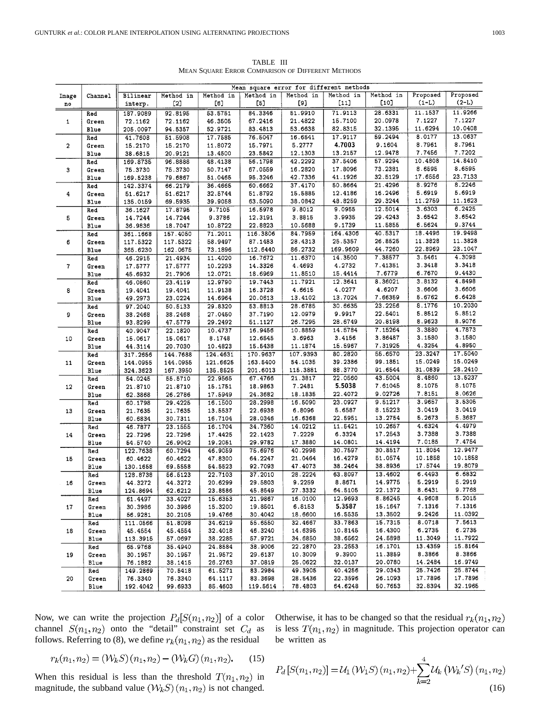| TABLE III                                         |  |
|---------------------------------------------------|--|
| MEAN SOUARE ERROR COMPARISON OF DIFFERENT METHODS |  |

|                         |              | Mean square error for different methods |                    |                    |                    |                     |                    |                    |                  |          |
|-------------------------|--------------|-----------------------------------------|--------------------|--------------------|--------------------|---------------------|--------------------|--------------------|------------------|----------|
| Image                   | Channel      | Bilinear                                | Method in          | Method in          | Method in          | Method in           | Method in          | Method in          | Proposed         | Proposed |
| no                      |              | interp.                                 | $[2]$              | [6]                | [5]                | [9]                 | $[11]$             | [10]               | $(1-L)$          | $(2-L)$  |
|                         | Red          | 187.9089                                | 92.8195            | 53.5751            | 84.3346            | 51.9910             | 71.9113            | 28.6331            | 11.1537          | 11.9266  |
| $\mathbf{1}$            | Green        | 72.1162                                 | 72.1162            | 46.3505            | 67.2416            | 21.4822             | 15.7100            | 20.0978            | 7.1227           | 7.1227   |
|                         | <b>Blue</b>  | 205.0097                                | 94.5357            | 52.9721            | 83.4813            | 53.6638             | 82.8315            | 32.1395            | 11.6294          | 10.0408  |
|                         | Red          | 41.7608                                 | 51.5908            | 17.7585            | 76.5047            | 16.6541             | 17.9117            | 59.2494            | 8.0177           | 13.0637  |
| $\overline{\mathbf{2}}$ | Green        | 15.2170                                 | 15.2170            | 11.8072            | 15.7971            | 5.2777              | 4.7003             | 9.1604             | 8.7961           | 8.7961   |
|                         |              |                                         |                    |                    | 23.5842            | 12.1303             | 13.2157            | 12.9478            | 7.7456           | 7.7202   |
|                         | Blue         | 38.6815                                 | 20.9121            | 13.4500            |                    | 42.2292             | 37.5406            | 57.9294            | 10.4808          | 14.8410  |
| 3                       | Red          | 169.8735                                | 96.8888            | 48.4138            | 56.1798<br>67.0559 | 16.2820             | 17.8096            | 73.2381            | 8.6595           | 8.6595   |
|                         | Green        | 75.3730                                 | 75.3730            | 50.7147            |                    | 42.7336             | 41.1926            | 32.5129            | 17.6556          | 23.7133  |
|                         | Blue         | 169.5238                                | 79.6867            | 51.0465            | 95.3246            | 37.4170             | 50.8664            | 21.4296            | 8.9276           | 8.2246   |
| 4                       | Red          | 142.3374                                | 66.2179            | 36.4665            | 60.6662            |                     |                    | 16.2496            | 5.6919           | 5.6919   |
|                         | Green        | 51.6217                                 | 51.6217            | 32.5744            | 51.8792            | 15.5885             | 12.4186<br>48.8259 | 29.3244            | 11.2759          | 11.1623  |
|                         | Blue         | 135.0159                                | 69.5935            | 39.9058            | 63.5090            | 38.0842             |                    |                    | 3.6303           | 6.2425   |
| 5                       | Red          | 36.1627                                 | 17.8795            | 9.7105             | 16.5978            | 9.8012              | 9.0955             | 12.5014<br>29.4243 | 3.6542           | 3.6542   |
|                         | Green        | 14.7244                                 | 14.7244            | 9.3786             | 12.3191            | 3.8815              | 3.9935             | 11.5855            | 6.5624           | 9.3744   |
|                         | Blue         | 36.9836                                 | 18.7047            | 10.8722            | 22.8823            | 10.5688             | 9.1739<br>164.4306 | 40.5317            | 18.4496          | 19.9498  |
|                         | Red          | 361.1668                                | 157.4050           | 71.2011            | 116.3806           | 84.7959             |                    |                    | 11.3828          | 11.3828  |
| 6                       | Green        | 117.5322                                | 117.5322           | 58.9497            | 87.1483            | 28.4313             | 25.5357            | 26.8525            | 22.8969          | 23.1047  |
|                         | Blue         | 365.6230                                | 162.0675           | 73.1896            | 112.6440           | 86.2732             | 169.9609           | 44.7260            |                  | 4.3098   |
|                         | Red          | 46.2915                                 | 21.4934            | 11.4020            | 16.7672            | 11.6370             | 14.3500            | 7.38577            | 3.5461           | 3.3418   |
| $\mathbf{7}$            | Green        | 17.5777                                 | 17.5777            | 10.2293            | 14.3326            | 4.4693              | 4.2732             | 7.41351<br>7.6779  | 3.3418<br>6.7670 | 9.4430   |
|                         | Blue         | 45.6932                                 | 21.7906            | 12.0721            | 18.6969            | 11.8510             | 15.4414            |                    |                  | 4.8498   |
|                         | Red          | 46.0860                                 | 23.4119            | 12.9790            | 19.7443            | 11.7921             | 12.3641            | 8.36021<br>4.6207  | 3.8132<br>3.6606 | 3.6606   |
| 8                       | Green        | 19.4041                                 | 19.4041            | 11.9138            | 16.3728            | 4.6615              | 4.0277             | 7.66359            | 5.6762           | 6.6428   |
|                         | Blue         | 49.2973                                 | 23.0224            | 14.6964            | 20.0613            | 13.4102             | 13.7024            | 23.2256            | 8.1776           | 10.2030  |
|                         | Red          | 97.2040                                 | 50.5133            | 29.8320            | 53.8813            | 28.6785             | 30.6635            |                    |                  | 5.8512   |
| 9                       | Green        | 38.2468                                 | 38.2468            | 27.0450            | 37.7190            | 12.0979             | 9.9917             | 22.5401<br>20.8198 | 5.8512<br>8.9623 | 8.9076   |
|                         | Blue         | 93.8299                                 | 47.5779            | 29.2492            | 51.1127            | 26.7295             | 28.6749            |                    |                  | 4.7873   |
|                         | Red          | 40.9047                                 | 22.1820            | 10.4737            | 16.9456            | 10.8859             | 14.5784            | 7.15264            | 3.3880           | 3.1580   |
| 10                      | Green        | 15.0617                                 | 15.0617            | 8.1748             | 12.6545            | 3.6963              | 3.4156             | 3.86487            | 3.1580<br>4.3254 | 4.8950   |
|                         | Blue         | 44.3114                                 | 20.7030            | 10.4823            | 15.5438            | 11.1874             | 15.5967<br>80.2820 | 7.31925<br>55.6570 | 23.3247          | 17.5040  |
|                         | Red          | 317.2656                                | 144.7688           | 124.4631           | 170.9637           | 107.9393            |                    | 99.1851            | 15.0249          | 15.0249  |
| 11                      | Green        | 144.0955                                | 144.0955           | 121.6625           | 163.5400           | 54.1035             | 39.2386<br>88.3770 | 91.6544            | 31.0839          | 28.2410  |
|                         | Blue         | 324.3623                                | 167.3950           | 135.8525           | 201.6013           | 115.3881<br>21.3817 | 22.0560            | 43.5004            | 8.4860           | 13.5237  |
|                         | Red          | 54.0245                                 | 55.5710            | 22.9565            | 67.4766            |                     | 5.5038             | 7.61045            | 8.1075           | 8.1075   |
| 12                      | Green        | 21.8710                                 | 21.8710            | 15.1751            | 18.9863            | 7.2481<br>18.1835   | 22.4072            | 9.02726            | 7.8151           | 8.0626   |
|                         | Blue         | 62.3868                                 | 26.2786            | 17.5949            | 24.3682            |                     | 23.0927            | 9.51217            | 3.9657           | 3.5305   |
|                         | Red          | 60.1798                                 | 29.4225            | 16.1500            | 28.2998<br>22.6938 | 16.5090<br>6.8096   | 5.6587             | 8.15223            | 3.0419           | 3.0419   |
| 13                      | Green        | 21.7635                                 | 21.7635<br>30.7311 | 13.5537<br>16.7104 | 28.0346            | 16.6368             | 22.5951            | 13.2754            | 5.2673           | 5.3687   |
|                         | Blue         | 60.6834                                 |                    |                    | 34.7360            | 14.0212             | 11.5421            | 10.2657            | 4.6324           | 4.4979   |
|                         | Red<br>Green | 46.7877<br>22.7296                      | 23.1555<br>22.7296 | 16.1704<br>17.4425 | 22.1423            | 7.2229              | 6.3324             | 17.2543            | 3.7388           | 3.7388   |
| 14                      |              |                                         | 26.9042            | 19.2051            | 29.9782            | 17.3880             | 14.0801            | 14.4194            | 7.0185           | 7.4754   |
|                         | Blue<br>Red  | 54.5740<br>122.7638                     | 60.7294            | 46.9059            | 75.6976            | 40.2998             | 30.7597            | 30.8517            | 11.8054          | 12.9477  |
| 15                      | Green        | 60.4622                                 | 60.4622            | 47.8300            | 64.2247            | 21.0464             | 16.4279            | 51.0574            | 10.1858          | 10.1858  |
|                         | Blue         | 130.1658                                | 69.5558            | 54.5523            | 92.7093            | 47.4073             | 38.2464            | 38.8936            | 17.5744          | 19.8079  |
|                         | Red          | 128.8738                                | 56.5123            | 22.7103            | 37.2010            | 28.2224             | 63.8097            | 13.4602            | 6.4493           | 6.6832   |
| 16                      | Green        | 44.3272                                 | 44.3272            | 20.6299            | 29.5803            | 9.2259              | 8.8671             | 14.9775            | 5.2919           | 5.2919   |
|                         | Blue         | 124.8694                                | 62.6212            | 23.8586            | 45.8549            | 27.3332             | 64.5105            | 22.1372            | 8.6431           | 9.7768   |
|                         | Red          | 61.4497                                 | 33.4027            | 15.6353            | 21.9867            | 16.0100             | 12.9693            | 8.86245            | 4.9608           | 5.2015   |
| 17                      | Green        | 30.3986                                 | 30.3986            | 15.3200            | 19.8501            | 6.8153              | 5.3587             | 15.1647            | 7.1316           | 7.1316   |
|                         | Blue         | 56.9281                                 | 30.2105            | 19.4766            | 30.4042            | 18.6600             | 16.5535            | 13.3502            | 9.2426           | 11.0392  |
| 18                      | Red          | 111.0566                                | 51.8098            | 34.6219            | 55.6550            | 32.4667             | 33.7863            | 15.7315            | 8.0718           | 7.5613   |
|                         | Green        | 45.4554                                 | 45.4554            | 32.4018            | 46.3240            | 14.6395             | 10.8145            | 16.4300            | 6.2735           | 6.2735   |
|                         | Blue         | 113.3915                                | 57.0697            | 38.2285            | 57.9721            | 34.6850             | 38.6562            | 24.5898            | 11.3049          | 11.7922  |
| 19                      | Red          | 65.9768                                 | 35.4940            | 24.8584            | 38.9006            | 22.2870             | 23.2553            | 16.1701            | 13.4359          | 15.8164  |
|                         | Green        | 30.1957                                 | 30.1957            | 21.9572            | 29.6137            | 10.3009             | 9.3900             | 11.3859            | 8.3866           | 8.3866   |
|                         | Blue         | 76.1882                                 | 38.1415            | 26.2763            | 37.0819            | 25.0622             | 32.0137            | 20.0780            | 14.2484          | 16.9749  |
|                         | Red          | 149.2869                                | 70.5418            | 61.5271            | 83.2984            | 49.3905             | 40.4256            | 29.0343            | 25.7426          | 25.8744  |
| 20                      | Green        | 76.3340                                 | 76.3340            | 64.1117            | 83.3698            | 28.5436             | 22.3596            | 26.1093            | 17.7896          | 17.7896  |
|                         | Blue         | 192.4042                                | 99.6933            | 85.4603            | 119.5614           | 78.4803             | 64.6248            | 50.7653            | 32.8394          | 32.1965  |

Now, we can write the projection  $P_d[S(n_1,n_2)]$  of a color channel  $S(n_1, n_2)$  onto the "detail" constraint set  $C_d$  as follows. Referring to (8), we define  $r_k(n_1, n_2)$  as the residual

Otherwise, it has to be changed so that the residual 
$$
r_k(n_1, n_2)
$$
 is less  $T(n_1, n_2)$  in magnitude. This projection operator can be written as

$$
r_k(n_1, n_2) = (\mathcal{W}_k S)(n_1, n_2) - (\mathcal{W}_k G)(n_1, n_2). \tag{15}
$$

When this residual is less than the threshold  $T(n_1, n_2)$  in magnitude, the subband value  $(W_k S)(n_1, n_2)$  is not changed.

$$
P_d[S(n_1, n_2)] = U_1(W_1S)(n_1, n_2) + \sum_{k=2}^{4} U_k(W_k'S)(n_1, n_2)
$$
\n(16)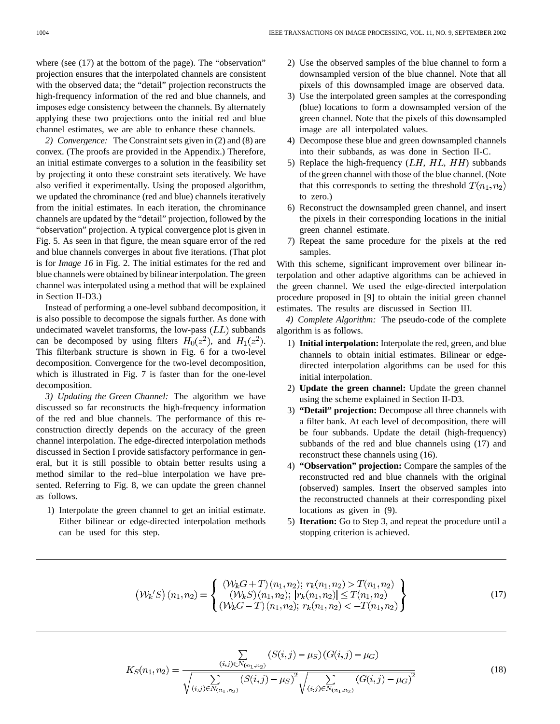where (see  $(17)$ ) at the bottom of the page). The "observation" projection ensures that the interpolated channels are consistent with the observed data; the "detail" projection reconstructs the high-frequency information of the red and blue channels, and imposes edge consistency between the channels. By alternately applying these two projections onto the initial red and blue channel estimates, we are able to enhance these channels.

*2) Convergence:* The Constraint sets given in (2) and (8) are convex. (The proofs are provided in the Appendix.) Therefore, an initial estimate converges to a solution in the feasibility set by projecting it onto these constraint sets iteratively. We have also verified it experimentally. Using the proposed algorithm, we updated the chrominance (red and blue) channels iteratively from the initial estimates. In each iteration, the chrominance channels are updated by the "detail" projection, followed by the "observation" projection. A typical convergence plot is given in Fig. 5. As seen in that figure, the mean square error of the red and blue channels converges in about five iterations. (That plot is for *Image 16* in Fig. 2. The initial estimates for the red and blue channels were obtained by bilinear interpolation. The green channel was interpolated using a method that will be explained in Section II-D3.)

Instead of performing a one-level subband decomposition, it is also possible to decompose the signals further. As done with undecimated wavelet transforms, the low-pass  $(LL)$  subbands can be decomposed by using filters  $H_0(z^2)$ , and  $H_1(z^2)$ . This filterbank structure is shown in Fig. 6 for a two-level decomposition. Convergence for the two-level decomposition, which is illustrated in Fig. 7 is faster than for the one-level decomposition.

*3) Updating the Green Channel:* The algorithm we have discussed so far reconstructs the high-frequency information of the red and blue channels. The performance of this reconstruction directly depends on the accuracy of the green channel interpolation. The edge-directed interpolation methods discussed in Section I provide satisfactory performance in general, but it is still possible to obtain better results using a method similar to the red–blue interpolation we have presented. Referring to Fig. 8, we can update the green channel as follows.

1) Interpolate the green channel to get an initial estimate. Either bilinear or edge-directed interpolation methods can be used for this step.

- 2) Use the observed samples of the blue channel to form a downsampled version of the blue channel. Note that all pixels of this downsampled image are observed data.
- 3) Use the interpolated green samples at the corresponding (blue) locations to form a downsampled version of the green channel. Note that the pixels of this downsampled image are all interpolated values.
- 4) Decompose these blue and green downsampled channels into their subbands, as was done in Section II-C.
- 5) Replace the high-frequency  $(LH, HL, HH)$  subbands of the green channel with those of the blue channel. (Note that this corresponds to setting the threshold  $T(n_1, n_2)$ to zero.)
- 6) Reconstruct the downsampled green channel, and insert the pixels in their corresponding locations in the initial green channel estimate.
- 7) Repeat the same procedure for the pixels at the red samples.

With this scheme, significant improvement over bilinear interpolation and other adaptive algorithms can be achieved in the green channel. We used the edge-directed interpolation procedure proposed in [9] to obtain the initial green channel estimates. The results are discussed in Section III.

*4) Complete Algorithm:* The pseudo-code of the complete algorithm is as follows.

- 1) **Initial interpolation:** Interpolate the red, green, and blue channels to obtain initial estimates. Bilinear or edgedirected interpolation algorithms can be used for this initial interpolation.
- 2) **Update the green channel:** Update the green channel using the scheme explained in Section II-D3.
- 3) **"Detail" projection:** Decompose all three channels with a filter bank. At each level of decomposition, there will be four subbands. Update the detail (high-frequency) subbands of the red and blue channels using (17) and reconstruct these channels using (16).
- 4) **"Observation" projection:** Compare the samples of the reconstructed red and blue channels with the original (observed) samples. Insert the observed samples into the reconstructed channels at their corresponding pixel locations as given in (9).
- 5) **Iteration:** Go to Step 3, and repeat the procedure until a stopping criterion is achieved.

$$
\left(\mathcal{W}_k'S\right)(n_1, n_2) = \begin{cases} \left(\mathcal{W}_k G + T\right)(n_1, n_2); \ r_k(n_1, n_2) > T(n_1, n_2) \\ \left(\mathcal{W}_k S\right)(n_1, n_2); \ |r_k(n_1, n_2)| \le T(n_1, n_2) \\ \left(\mathcal{W}_k G - T\right)(n_1, n_2); \ r_k(n_1, n_2) < -T(n_1, n_2) \end{cases} \tag{17}
$$

$$
K_S(n_1, n_2) = \frac{\sum\limits_{(i,j)\in N_{(n_1,n_2)}}(S(i,j) - \mu_S)(G(i,j) - \mu_G)}{\sqrt{\sum\limits_{(i,j)\in N_{(n_1,n_2)}}(S(i,j) - \mu_S)^2} \sqrt{\sum\limits_{(i,j)\in N_{(n_1,n_2)}}(G(i,j) - \mu_G)^2}}
$$
(18)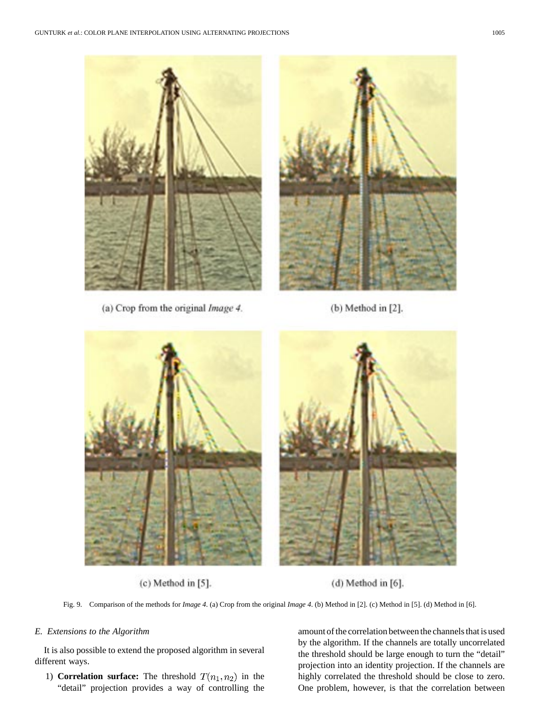

(a) Crop from the original Image 4.

(b) Method in [2].



 $(c)$  Method in  $[5]$ .

 $(d)$  Method in  $[6]$ .

Fig. 9. Comparison of the methods for *Image 4*. (a) Crop from the original *Image 4*. (b) Method in [2]. (c) Method in [5]. (d) Method in [6].

# *E. Extensions to the Algorithm*

It is also possible to extend the proposed algorithm in several different ways.

1) **Correlation surface:** The threshold  $T(n_1, n_2)$  in the "detail" projection provides a way of controlling the amount of the correlation between the channels that is used by the algorithm. If the channels are totally uncorrelated the threshold should be large enough to turn the "detail" projection into an identity projection. If the channels are highly correlated the threshold should be close to zero. One problem, however, is that the correlation between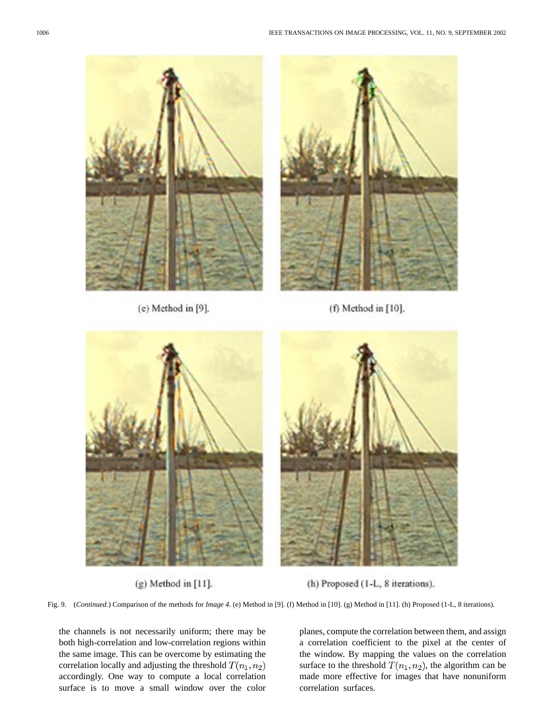

 $(e)$  Method in  $[9]$ .



 $(f)$  Method in  $[10]$ .



 $(g)$  Method in  $[11]$ .



(h) Proposed (1-L, 8 iterations).

Fig. 9. (*Continued.*) Comparison of the methods for *Image 4*. (e) Method in [9]. (f) Method in [10]. (g) Method in [11]. (h) Proposed (1-L, 8 iterations).

the channels is not necessarily uniform; there may be both high-correlation and low-correlation regions within the same image. This can be overcome by estimating the correlation locally and adjusting the threshold  $T(n_1, n_2)$ accordingly. One way to compute a local correlation surface is to move a small window over the color

planes, compute the correlation between them, and assign a correlation coefficient to the pixel at the center of the window. By mapping the values on the correlation surface to the threshold  $T(n_1, n_2)$ , the algorithm can be made more effective for images that have nonuniform correlation surfaces.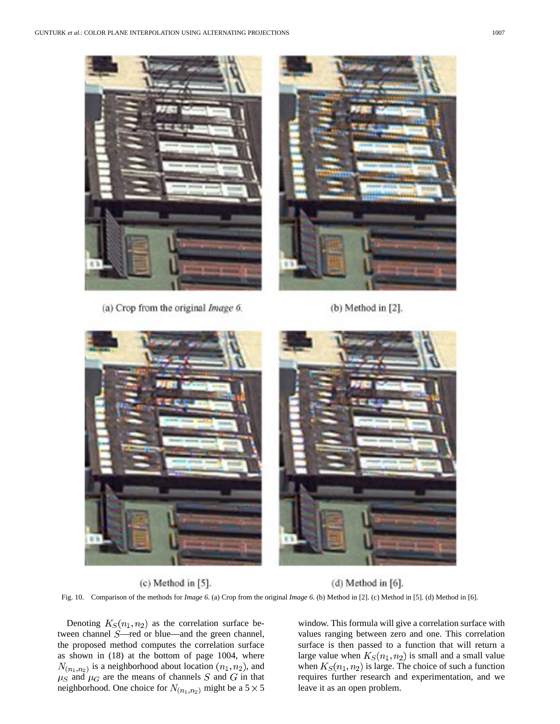

(a) Crop from the original Image 6.

(b) Method in [2].



 $(c)$  Method in  $[5]$ .  $(d)$  Method in  $[6]$ .

Fig. 10. Comparison of the methods for *Image 6*. (a) Crop from the original *Image 6*. (b) Method in [2]. (c) Method in [5]. (d) Method in [6].

Denoting  $K_S(n_1, n_2)$  as the correlation surface between channel  $S$ —red or blue—and the green channel, the proposed method computes the correlation surface as shown in (18) at the bottom of page 1004, where  $N_{(n_1,n_2)}$  is a neighborhood about location  $(n_1, n_2)$ , and  $\mu_S$  and  $\mu_G$  are the means of channels S and G in that neighborhood. One choice for  $N_{(n_1,n_2)}$  might be a  $5 \times 5$ 

window. This formula will give a correlation surface with values ranging between zero and one. This correlation surface is then passed to a function that will return a large value when  $K_S(n_1, n_2)$  is small and a small value when  $K_S(n_1, n_2)$  is large. The choice of such a function requires further research and experimentation, and we leave it as an open problem.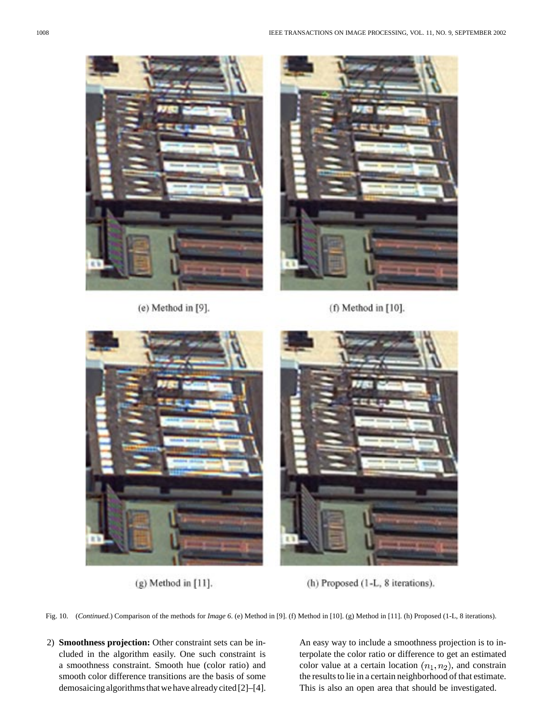

 $(e)$  Method in  $[9]$ .



 $(f)$  Method in  $[10]$ .



 $(g)$  Method in  $[11]$ .



(h) Proposed (1-L, 8 iterations).

Fig. 10. (*Continued.*) Comparison of the methods for *Image 6*. (e) Method in [9]. (f) Method in [10]. (g) Method in [11]. (h) Proposed (1-L, 8 iterations).

2) **Smoothness projection:** Other constraint sets can be included in the algorithm easily. One such constraint is a smoothness constraint. Smooth hue (color ratio) and smooth color difference transitions are the basis of some demosaicing algorithms that we have already cited [2]–[4]. An easy way to include a smoothness projection is to interpolate the color ratio or difference to get an estimated color value at a certain location  $(n_1, n_2)$ , and constrain the results to lie in a certain neighborhood of that estimate. This is also an open area that should be investigated.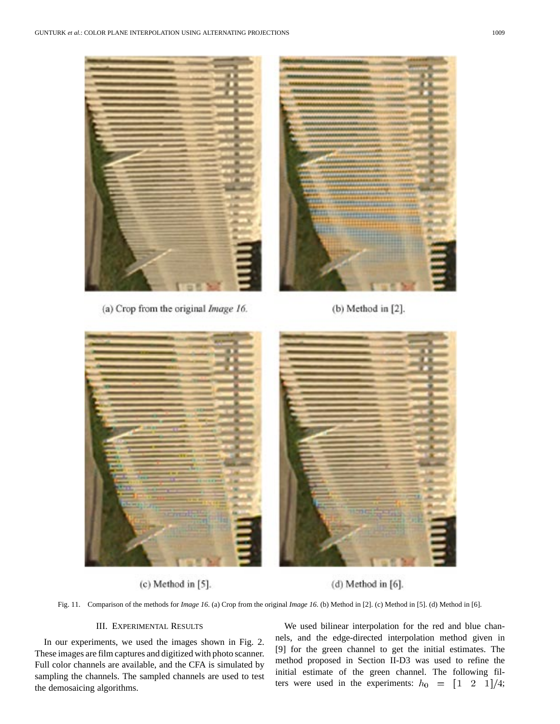

(a) Crop from the original Image 16.

 $(b)$  Method in  $[2]$ .



 $(c)$  Method in  $[5]$ .

(d) Method in [6].

Fig. 11. Comparison of the methods for *Image 16*. (a) Crop from the original *Image 16*. (b) Method in [2]. (c) Method in [5]. (d) Method in [6].

# III. EXPERIMENTAL RESULTS

In our experiments, we used the images shown in Fig. 2. These images are film captures and digitized with photo scanner. Full color channels are available, and the CFA is simulated by sampling the channels. The sampled channels are used to test the demosaicing algorithms.

We used bilinear interpolation for the red and blue channels, and the edge-directed interpolation method given in [9] for the green channel to get the initial estimates. The method proposed in Section II-D3 was used to refine the initial estimate of the green channel. The following filters were used in the experiments:  $h_0 = \begin{bmatrix} 1 & 2 & 1 \end{bmatrix} / 4;$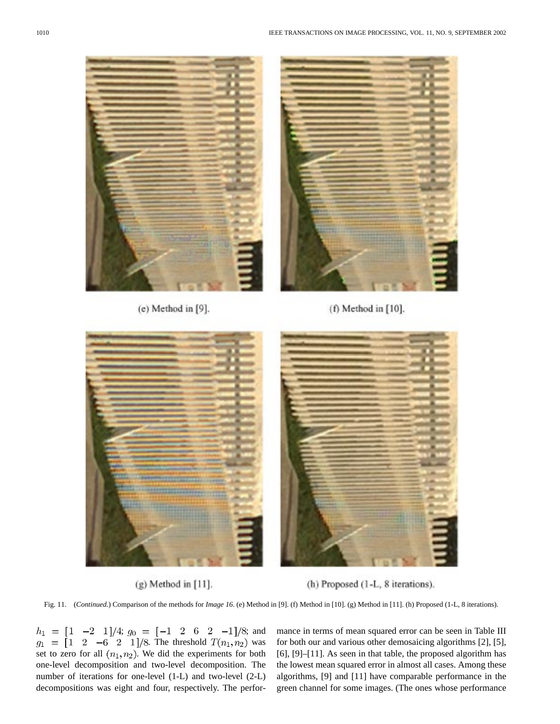

 $(e)$  Method in  $[9]$ .



 $(f)$  Method in  $[10]$ .



 $(g)$  Method in  $[11]$ .



(h) Proposed (1-L, 8 iterations).

Fig. 11. (*Continued.*) Comparison of the methods for *Image 16*. (e) Method in [9]. (f) Method in [10]. (g) Method in [11]. (h) Proposed (1-L, 8 iterations).

;  $g_0 = \begin{bmatrix} -1 & 2 & 6 & 2 & -1 \end{bmatrix}$ /8; and . The threshold  $T(n_1, n_2)$  was set to zero for all  $(n_1, n_2)$ . We did the experiments for both one-level decomposition and two-level decomposition. The number of iterations for one-level (1-L) and two-level (2-L) decompositions was eight and four, respectively. The perfor-

mance in terms of mean squared error can be seen in Table III for both our and various other demosaicing algorithms [2], [5], [6], [9]–[11]. As seen in that table, the proposed algorithm has the lowest mean squared error in almost all cases. Among these algorithms, [9] and [11] have comparable performance in the green channel for some images. (The ones whose performance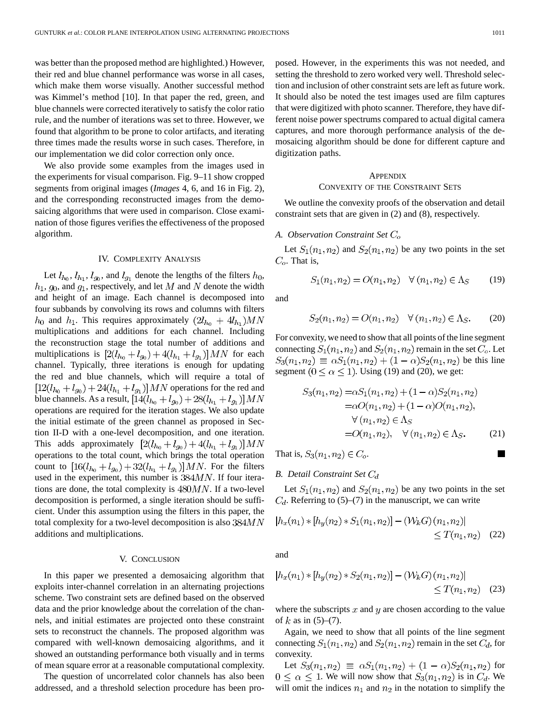was better than the proposed method are highlighted.) However, their red and blue channel performance was worse in all cases, which make them worse visually. Another successful method was Kimmel's method [10]. In that paper the red, green, and blue channels were corrected iteratively to satisfy the color ratio rule, and the number of iterations was set to three. However, we found that algorithm to be prone to color artifacts, and iterating three times made the results worse in such cases. Therefore, in our implementation we did color correction only once.

We also provide some examples from the images used in the experiments for visual comparison. Fig. 9–11 show cropped segments from original images (*Images* 4, 6, and 16 in Fig. 2), and the corresponding reconstructed images from the demosaicing algorithms that were used in comparison. Close examination of those figures verifies the effectiveness of the proposed algorithm.

#### IV. COMPLEXITY ANALYSIS

Let  $l_{h_0}$ ,  $l_{h_1}$ ,  $l_{g_0}$ , and  $l_{g_1}$  denote the lengths of the filters  $h_0$ ,  $h_1, g_0$ , and  $g_1$ , respectively, and let M and N denote the width and height of an image. Each channel is decomposed into four subbands by convolving its rows and columns with filters  $h_0$  and  $h_1$ . This requires approximately  $(2l_{h_0} + 4l_{h_1})MN$ multiplications and additions for each channel. Including the reconstruction stage the total number of additions and multiplications is  $[2(l_{h_0}+l_{g_0})+4(l_{h_1}+l_{g_1})]MN$  for each channel. Typically, three iterations is enough for updating the red and blue channels, which will require a total of  $[12(l_{h_0} + l_{g_0}) + 24(l_{h_1} + l_{g_1})]$  *MN* operations for the red and blue channels. As a result,  $[14(l_{h_0} + l_{g_0}) + 28(l_{h_1} + l_{g_1})]$  MN operations are required for the iteration stages. We also update the initial estimate of the green channel as proposed in Section II-D with a one-level decomposition, and one iteration. This adds approximately  $[2(l_{h_0} + l_{g_0}) + 4(l_{h_1} + l_{g_1})]$  MN operations to the total count, which brings the total operation count to  $[16(l_{h_0} + l_{g_0}) + 32(l_{h_1} + l_{g_1})]$  MN. For the filters used in the experiment, this number is  $384MN$ . If four iterations are done, the total complexity is  $480MN$ . If a two-level decomposition is performed, a single iteration should be sufficient. Under this assumption using the filters in this paper, the total complexity for a two-level decomposition is also  $384MN$ additions and multiplications.

#### V. CONCLUSION

In this paper we presented a demosaicing algorithm that exploits inter-channel correlation in an alternating projections scheme. Two constraint sets are defined based on the observed data and the prior knowledge about the correlation of the channels, and initial estimates are projected onto these constraint sets to reconstruct the channels. The proposed algorithm was compared with well-known demosaicing algorithms, and it showed an outstanding performance both visually and in terms of mean square error at a reasonable computational complexity.

The question of uncorrelated color channels has also been addressed, and a threshold selection procedure has been proposed. However, in the experiments this was not needed, and setting the threshold to zero worked very well. Threshold selection and inclusion of other constraint sets are left as future work. It should also be noted the test images used are film captures that were digitized with photo scanner. Therefore, they have different noise power spectrums compared to actual digital camera captures, and more thorough performance analysis of the demosaicing algorithm should be done for different capture and digitization paths.

# **APPENDIX**

## CONVEXITY OF THE CONSTRAINT SETS

We outline the convexity proofs of the observation and detail constraint sets that are given in (2) and (8), respectively.

## *A. Observation Constraint Set*

Let  $S_1(n_1, n_2)$  and  $S_2(n_1, n_2)$  be any two points in the set  $C<sub>o</sub>$ . That is,

$$
S_1(n_1, n_2) = O(n_1, n_2) \quad \forall (n_1, n_2) \in \Lambda_S \tag{19}
$$

and

£

$$
S_2(n_1, n_2) = O(n_1, n_2) \quad \forall (n_1, n_2) \in \Lambda_S. \tag{20}
$$

For convexity, we need to show that all points of the line segment connecting  $S_1(n_1, n_2)$  and  $S_2(n_1, n_2)$  remain in the set  $C_o$ . Let  $S_3(n_1, n_2) \equiv \alpha S_1(n_1, n_2) + (1 - \alpha) S_2(n_1, n_2)$  be this line segment  $(0 \le \alpha \le 1)$ . Using (19) and (20), we get:

$$
S_3(n_1, n_2) = \alpha S_1(n_1, n_2) + (1 - \alpha) S_2(n_1, n_2)
$$
  
=  $\alpha O(n_1, n_2) + (1 - \alpha) O(n_1, n_2),$   
 $\forall (n_1, n_2) \in \Lambda_S$   
=  $O(n_1, n_2), \quad \forall (n_1, n_2) \in \Lambda_S.$  (21)

That is,  $S_3(n_1, n_2) \in C_0$ .

# *B. Detail Constraint Set*

Let  $S_1(n_1, n_2)$  and  $S_2(n_1, n_2)$  be any two points in the set  $C_d$ . Referring to (5)–(7) in the manuscript, we can write

$$
|h_x(n_1) * [h_y(n_2) * S_1(n_1, n_2)] - (\mathcal{W}_k G)(n_1, n_2)|
$$
  
\$\leq T(n\_1, n\_2) \quad (22)\$

and

$$
|h_x(n_1) * [h_y(n_2) * S_2(n_1, n_2)] - (\mathcal{W}_k G)(n_1, n_2)|
$$
  
\$\leq T(n\_1, n\_2) \quad (23)\$

where the subscripts  $x$  and  $y$  are chosen according to the value of  $k$  as in  $(5)-(7)$ .

Again, we need to show that all points of the line segment connecting  $S_1(n_1, n_2)$  and  $S_2(n_1, n_2)$  remain in the set  $C_d$ , for convexity.

Let  $S_3(n_1, n_2) \equiv \alpha S_1(n_1, n_2) + (1 - \alpha) S_2(n_1, n_2)$  for  $0 \leq \alpha \leq 1$ . We will now show that  $S_3(n_1, n_2)$  is in  $C_d$ . We will omit the indices  $n_1$  and  $n_2$  in the notation to simplify the

 $\blacksquare$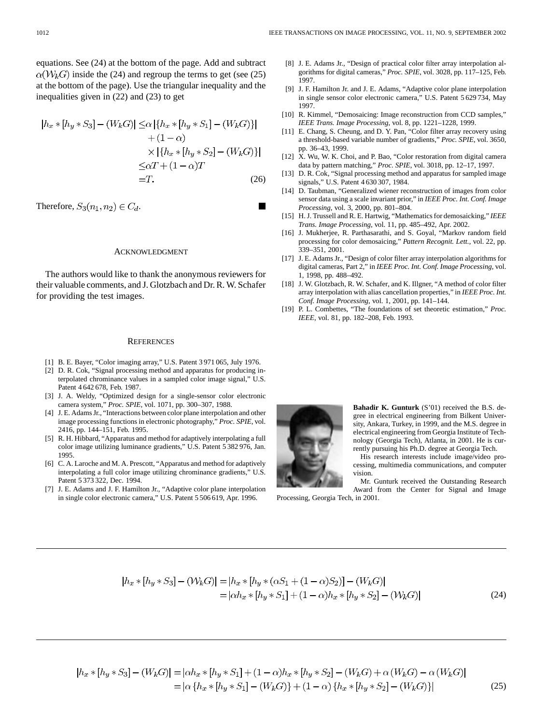equations. See (24) at the bottom of the page. Add and subtract  $\alpha(W_k G)$  inside the (24) and regroup the terms to get (see (25) at the bottom of the page). Use the triangular inequality and the inequalities given in (22) and (23) to get

$$
|h_x * [h_y * S_3] - (W_k G)| \leq \alpha \left| \{ h_x * [h_y * S_1] - (W_k G) \} \right|
$$
  
+ (1 - \alpha)  

$$
\times \left| \{ h_x * [h_y * S_2] - (W_k G) \} \right|
$$
  

$$
\leq \alpha T + (1 - \alpha)T
$$
  
=T. (26)

Therefore, 
$$
S_3(n_1, n_2) \in C_d
$$
.

#### ACKNOWLEDGMENT

The authors would like to thank the anonymous reviewers for their valuable comments, and J. Glotzbach and Dr. R. W. Schafer for providing the test images.

#### **REFERENCES**

- [1] B. E. Bayer, "Color imaging array," U.S. Patent 3 971 065, July 1976.
- [2] D. R. Cok, "Signal processing method and apparatus for producing interpolated chrominance values in a sampled color image signal," U.S. Patent 4 642 678, Feb. 1987.
- [3] J. A. Weldy, "Optimized design for a single-sensor color electronic camera system," *Proc. SPIE*, vol. 1071, pp. 300–307, 1988.
- [4] J. E. Adams Jr., "Interactions between color plane interpolation and other image processing functions in electronic photography," *Proc. SPIE*, vol. 2416, pp. 144–151, Feb. 1995.
- [5] R. H. Hibbard, "Apparatus and method for adaptively interpolating a full color image utilizing luminance gradients," U.S. Patent 5 382 976, Jan. 1995.
- [6] C. A. Laroche and M. A. Prescott, "Apparatus and method for adaptively interpolating a full color image utilizing chrominance gradients," U.S. Patent 5 373 322, Dec. 1994.
- [7] J. E. Adams and J. F. Hamilton Jr., "Adaptive color plane interpolation in single color electronic camera," U.S. Patent 5 506 619, Apr. 1996.
- [8] J. E. Adams Jr., "Design of practical color filter array interpolation algorithms for digital cameras," *Proc. SPIE*, vol. 3028, pp. 117–125, Feb. 1997.
- [9] J. F. Hamilton Jr. and J. E. Adams, "Adaptive color plane interpolation in single sensor color electronic camera," U.S. Patent 5 629 734, May 1997.
- [10] R. Kimmel, "Demosaicing: Image reconstruction from CCD samples," *IEEE Trans. Image Processing*, vol. 8, pp. 1221–1228, 1999.
- [11] E. Chang, S. Cheung, and D. Y. Pan, "Color filter array recovery using a threshold-based variable number of gradients," *Proc. SPIE*, vol. 3650, pp. 36–43, 1999.
- [12] X. Wu, W. K. Choi, and P. Bao, "Color restoration from digital camera data by pattern matching," *Proc. SPIE*, vol. 3018, pp. 12–17, 1997.
- [13] D. R. Cok, "Signal processing method and apparatus for sampled image signals," U.S. Patent 4 630 307, 1984.
- [14] D. Taubman, "Generalized wiener reconstruction of images from color sensor data using a scale invariant prior," in *IEEE Proc. Int. Conf. Image Processing*, vol. 3, 2000, pp. 801–804.
- [15] H. J. Trussell and R. E. Hartwig, "Mathematics for demosaicking," *IEEE Trans. Image Processing*, vol. 11, pp. 485–492, Apr. 2002.
- [16] J. Mukherjee, R. Parthasarathi, and S. Goyal, "Markov random field processing for color demosaicing," *Pattern Recognit. Lett.*, vol. 22, pp. 339–351, 2001.
- [17] J. E. Adams Jr., "Design of color filter array interpolation algorithms for digital cameras, Part 2," in *IEEE Proc. Int. Conf. Image Processing*, vol. 1, 1998, pp. 488–492.
- [18] J. W. Glotzbach, R. W. Schafer, and K. Illgner, "A method of color filter array interpolation with alias cancellation properties," in *IEEE Proc. Int. Conf. Image Processing*, vol. 1, 2001, pp. 141–144.
- [19] P. L. Combettes, "The foundations of set theoretic estimation," *Proc. IEEE*, vol. 81, pp. 182–208, Feb. 1993.



**Bahadir K. Gunturk** (S'01) received the B.S. degree in electrical engineering from Bilkent University, Ankara, Turkey, in 1999, and the M.S. degree in electrical engineering from Georgia Institute of Technology (Georgia Tech), Atlanta, in 2001. He is currently pursuing his Ph.D. degree at Georgia Tech.

His research interests include image/video processing, multimedia communications, and computer vision.

Mr. Gunturk received the Outstanding Research Award from the Center for Signal and Image Processing, Georgia Tech, in 2001.

(25)

$$
|h_x * [h_y * S_3] - (\mathcal{W}_k G)| = |h_x * [h_y * (\alpha S_1 + (1 - \alpha) S_2)] - (\mathcal{W}_k G)|
$$
  
= 
$$
|\alpha h_x * [h_y * S_1] + (1 - \alpha) h_x * [h_y * S_2] - (\mathcal{W}_k G)|
$$
 (24)

$$
|h_x * [h_y * S_3] - (W_k G)| = |\alpha h_x * [h_y * S_1] + (1 - \alpha)h_x * [h_y * S_2] - (W_k G) + \alpha (W_k G) - \alpha (W_k G)|
$$
  
=  $|\alpha \{h_x * [h_y * S_1] - (W_k G)\} + (1 - \alpha) \{h_x * [h_y * S_2] - (W_k G)\}|\$